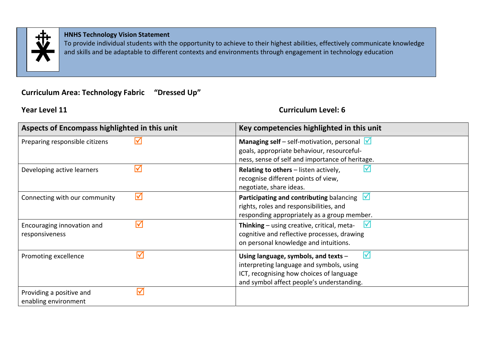

### **HNHS Technology Vision Statement**

To provide individual students with the opportunity to achieve to their highest abilities, effectively communicate knowledge and skills and be adaptable to different contexts and environments through engagement in technology education

# **Curriculum Area: Technology Fabric "Dressed Up"**

## **Year Level 11**

## **Curriculum Level: 6**

| Aspects of Encompass highlighted in this unit                            | Key competencies highlighted in this unit                                                                                                                                       |
|--------------------------------------------------------------------------|---------------------------------------------------------------------------------------------------------------------------------------------------------------------------------|
| Preparing responsible citizens                                           | <b>Managing self</b> – self-motivation, personal $\sqrt{ }$<br>goals, appropriate behaviour, resourceful-<br>ness, sense of self and importance of heritage.                    |
| $\blacktriangledown$<br>Developing active learners                       | Relating to others - listen actively,<br>recognise different points of view,<br>negotiate, share ideas.                                                                         |
| $\blacktriangledown$<br>Connecting with our community                    | $\mathsf{V}$<br>Participating and contributing balancing<br>rights, roles and responsibilities, and<br>responding appropriately as a group member.                              |
| $\blacktriangledown$<br>Encouraging innovation and<br>responsiveness     | M<br>Thinking - using creative, critical, meta-<br>cognitive and reflective processes, drawing<br>on personal knowledge and intuitions.                                         |
| $\overline{\mathsf{M}}$<br>Promoting excellence                          | ΙV<br>Using language, symbols, and texts -<br>interpreting language and symbols, using<br>ICT, recognising how choices of language<br>and symbol affect people's understanding. |
| $\blacktriangledown$<br>Providing a positive and<br>enabling environment |                                                                                                                                                                                 |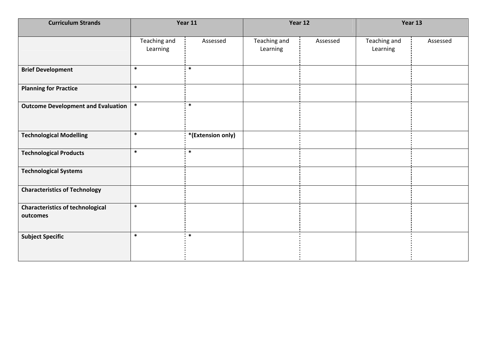| <b>Curriculum Strands</b>                           |                          | Year 11           |                          | Year 12  |                          | Year 13  |
|-----------------------------------------------------|--------------------------|-------------------|--------------------------|----------|--------------------------|----------|
|                                                     | Teaching and<br>Learning | Assessed          | Teaching and<br>Learning | Assessed | Teaching and<br>Learning | Assessed |
| <b>Brief Development</b>                            | $\ast$                   | $\ast$            |                          |          |                          |          |
| <b>Planning for Practice</b>                        | $\ast$                   |                   |                          |          |                          |          |
| <b>Outcome Development and Evaluation</b>           | $\ast$                   | $\ast$            |                          |          |                          |          |
| <b>Technological Modelling</b>                      | $\ast$                   | *(Extension only) |                          |          |                          |          |
| <b>Technological Products</b>                       | $\ast$                   | $\ast$            |                          |          |                          |          |
| <b>Technological Systems</b>                        |                          |                   |                          |          |                          |          |
| <b>Characteristics of Technology</b>                |                          |                   |                          |          |                          |          |
| <b>Characteristics of technological</b><br>outcomes | $\ast$                   |                   |                          |          |                          |          |
| <b>Subject Specific</b>                             | $\ast$                   | $\ast$            |                          |          |                          |          |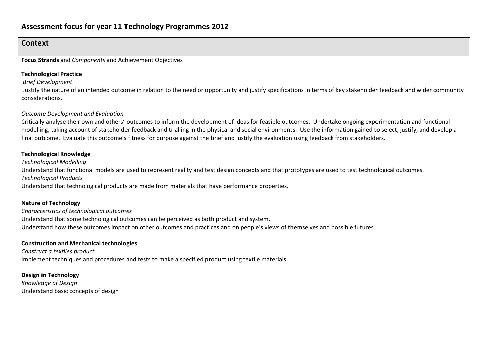# **Assessment focus for year 11 Technology Programmes 2012**

### **Context**

**Focus Strands** and *Components* and Achievement Objectives

#### **Technological Practice**

*Brief Development*

Justify the nature of an intended outcome in relation to the need or opportunity and justify specifications in terms of key stakeholder feedback and wider community considerations.

#### *Outcome Development and Evaluation*

Critically analyse their own and others' outcomes to inform the development of ideas for feasible outcomes. Undertake ongoing experimentation and functional modelling, taking account of stakeholder feedback and trialling in the physical and social environments. Use the information gained to select, justify, and develop <sup>a</sup> final outcome. Evaluate this outcome's fitness for purpose against the brief and justify the evaluation using feedback from stakeholders.

#### **Technological Knowledge**

*Technological Modelling* Understand that functional models are used to represent reality and test design concepts and that prototypes are used to test technological outcomes. *Technological Products*

Understand that technological products are made from materials that have performance properties.

#### **Nature of Technology**

*Characteristics of technological outcomes* Understand that some technological outcomes can be perceived as both product and system. Understand how these outcomes impact on other outcomes and practices and on people's views of themselves and possible futures.

#### **Construction and Mechanical technologies**

*Construct a textiles product* Implement techniques and procedures and tests to make <sup>a</sup> specified product using textile materials.

#### **Design in Technology**

*Knowledge of Design* Understand basic concepts of design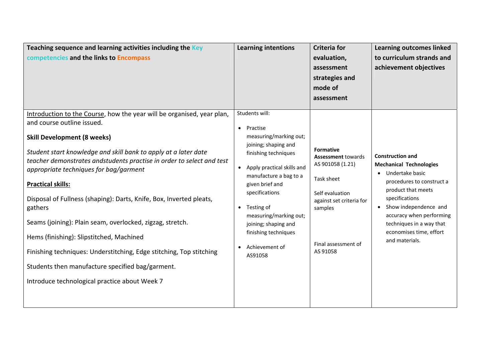| Teaching sequence and learning activities including the Key<br>competencies and the links to Encompass                                                                                                                                                                                                                                                                                                                                                                                                                                                                                                                                                                                                                              | <b>Learning intentions</b>                                                                                                                                                                                                                                                                                                                                                 | <b>Criteria for</b><br>evaluation,<br>assessment<br>strategies and<br>mode of<br>assessment                                                                                  | <b>Learning outcomes linked</b><br>to curriculum strands and<br>achievement objectives                                                                                                                                                                                                       |
|-------------------------------------------------------------------------------------------------------------------------------------------------------------------------------------------------------------------------------------------------------------------------------------------------------------------------------------------------------------------------------------------------------------------------------------------------------------------------------------------------------------------------------------------------------------------------------------------------------------------------------------------------------------------------------------------------------------------------------------|----------------------------------------------------------------------------------------------------------------------------------------------------------------------------------------------------------------------------------------------------------------------------------------------------------------------------------------------------------------------------|------------------------------------------------------------------------------------------------------------------------------------------------------------------------------|----------------------------------------------------------------------------------------------------------------------------------------------------------------------------------------------------------------------------------------------------------------------------------------------|
| Introduction to the Course, how the year will be organised, year plan,<br>and course outline issued.<br><b>Skill Development (8 weeks)</b><br>Student start knowledge and skill bank to apply at a later date<br>teacher demonstrates andstudents practise in order to select and test<br>appropriate techniques for bag/garment<br><b>Practical skills:</b><br>Disposal of Fullness (shaping): Darts, Knife, Box, Inverted pleats,<br>gathers<br>Seams (joining): Plain seam, overlocked, zigzag, stretch.<br>Hems (finishing): Slipstitched, Machined<br>Finishing techniques: Understitching, Edge stitching, Top stitching<br>Students then manufacture specified bag/garment.<br>Introduce technological practice about Week 7 | Students will:<br>Practise<br>$\bullet$<br>measuring/marking out;<br>joining; shaping and<br>finishing techniques<br>Apply practical skills and<br>$\bullet$<br>manufacture a bag to a<br>given brief and<br>specifications<br>Testing of<br>$\bullet$<br>measuring/marking out;<br>joining; shaping and<br>finishing techniques<br>Achievement of<br>$\bullet$<br>AS91058 | <b>Formative</b><br><b>Assessment towards</b><br>AS 901058 (1.21)<br>Task sheet<br>Self evaluation<br>against set criteria for<br>samples<br>Final assessment of<br>AS 91058 | <b>Construction and</b><br><b>Mechanical Technologies</b><br>Undertake basic<br>procedures to construct a<br>product that meets<br>specifications<br>Show independence and<br>$\bullet$<br>accuracy when performing<br>techniques in a way that<br>economises time, effort<br>and materials. |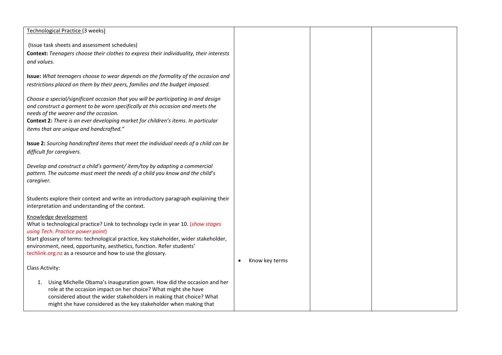| Technological Practice (3 weeks)                                                            |                |  |
|---------------------------------------------------------------------------------------------|----------------|--|
|                                                                                             |                |  |
| (Issue task sheets and assessment schedules)                                                |                |  |
| Context: Teenagers choose their clothes to express their individuality, their interests     |                |  |
| and values.                                                                                 |                |  |
|                                                                                             |                |  |
| Issue: What teenagers choose to wear depends on the formality of the occasion and           |                |  |
| restrictions placed on them by their peers, families and the budget imposed.                |                |  |
|                                                                                             |                |  |
| Choose a special/significant occasion that you will be participating in and design          |                |  |
| and construct a garment to be worn specifically at this occasion and meets the              |                |  |
| needs of the wearer and the occasion.                                                       |                |  |
| Context 2: There is an ever developing market for children's items. In particular           |                |  |
| items that are unique and handcrafted."                                                     |                |  |
|                                                                                             |                |  |
| <b>Issue 2:</b> Sourcing handcrafted items that meet the individual needs of a child can be |                |  |
| difficult for caregivers.                                                                   |                |  |
|                                                                                             |                |  |
| Develop and construct a child's garment/ item/toy by adapting a commercial                  |                |  |
| pattern. The outcome must meet the needs of a child you know and the child's                |                |  |
| caregiver.                                                                                  |                |  |
|                                                                                             |                |  |
| Students explore their context and write an introductory paragraph explaining their         |                |  |
| interpretation and understanding of the context.                                            |                |  |
|                                                                                             |                |  |
| Knowledge development                                                                       |                |  |
| What is technological practice? Link to technology cycle in year 10. (show stages           |                |  |
| using Tech. Practice power point)                                                           |                |  |
| Start glossary of terms: technological practice, key stakeholder, wider stakeholder,        |                |  |
| environment, need, opportunity, aesthetics, function. Refer students'                       |                |  |
| techlink.org.nz as a resource and how to use the glossary.                                  |                |  |
| Class Activity:                                                                             | Know key terms |  |
|                                                                                             |                |  |
| Using Michelle Obama's inauguration gown. How did the occasion and her<br>1.                |                |  |
| role at the occasion impact on her choice? What might she have                              |                |  |
| considered about the wider stakeholders in making that choice? What                         |                |  |
| might she have considered as the key stakeholder when making that                           |                |  |
|                                                                                             |                |  |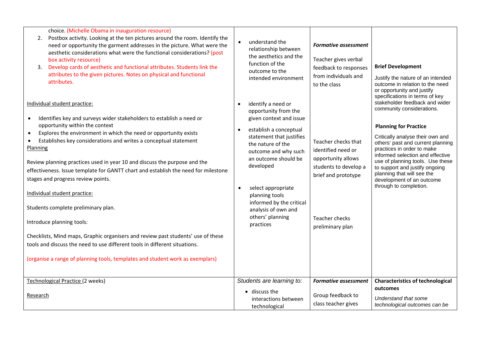| choice. (Michelle Obama in inauguration resource)<br>Postbox activity. Looking at the ten pictures around the room. Identify the<br>2.<br>need or opportunity the garment addresses in the picture. What were the<br>aesthetic considerations what were the functional considerations? (post<br>box activity resource)<br>Develop cards of aesthetic and functional attributes. Students link the<br>3.<br>attributes to the given pictures. Notes on physical and functional<br>attributes.<br>Individual student practice:<br>Identifies key and surveys wider stakeholders to establish a need or<br>$\bullet$<br>opportunity within the context<br>Explores the environment in which the need or opportunity exists<br>$\bullet$<br>Establishes key considerations and writes a conceptual statement<br>Planning<br>Review planning practices used in year 10 and discuss the purpose and the<br>effectiveness. Issue template for GANTT chart and establish the need for milestone<br>stages and progress review points.<br>Individual student practice:<br>Students complete preliminary plan.<br>Introduce planning tools:<br>Checklists, Mind maps, Graphic organisers and review past students' use of these<br>tools and discuss the need to use different tools in different situations.<br>(organise a range of planning tools, templates and student work as exemplars) | understand the<br>$\bullet$<br>relationship between<br>the aesthetics and the<br>function of the<br>outcome to the<br>intended environment<br>identify a need or<br>opportunity from the<br>given context and issue<br>establish a conceptual<br>statement that justifies<br>the nature of the<br>outcome and why such<br>an outcome should be<br>developed<br>select appropriate<br>$\bullet$<br>planning tools<br>informed by the critical<br>analysis of own and<br>others' planning<br>practices | <b>Formative assessment</b><br>Teacher gives verbal<br>feedback to responses<br>from individuals and<br>to the class<br>Teacher checks that<br>identified need or<br>opportunity allows<br>students to develop a<br>brief and prototype<br>Teacher checks<br>preliminary plan | <b>Brief Development</b><br>Justify the nature of an intended<br>outcome in relation to the need<br>or opportunity and justify<br>specifications in terms of key<br>stakeholder feedback and wider<br>community considerations.<br><b>Planning for Practice</b><br>Critically analyse their own and<br>others' past and current planning<br>practices in order to make<br>informed selection and effective<br>use of planning tools. Use these<br>to support and justify ongoing<br>planning that will see the<br>development of an outcome<br>through to completion. |
|--------------------------------------------------------------------------------------------------------------------------------------------------------------------------------------------------------------------------------------------------------------------------------------------------------------------------------------------------------------------------------------------------------------------------------------------------------------------------------------------------------------------------------------------------------------------------------------------------------------------------------------------------------------------------------------------------------------------------------------------------------------------------------------------------------------------------------------------------------------------------------------------------------------------------------------------------------------------------------------------------------------------------------------------------------------------------------------------------------------------------------------------------------------------------------------------------------------------------------------------------------------------------------------------------------------------------------------------------------------------------------------|------------------------------------------------------------------------------------------------------------------------------------------------------------------------------------------------------------------------------------------------------------------------------------------------------------------------------------------------------------------------------------------------------------------------------------------------------------------------------------------------------|-------------------------------------------------------------------------------------------------------------------------------------------------------------------------------------------------------------------------------------------------------------------------------|-----------------------------------------------------------------------------------------------------------------------------------------------------------------------------------------------------------------------------------------------------------------------------------------------------------------------------------------------------------------------------------------------------------------------------------------------------------------------------------------------------------------------------------------------------------------------|
| Technological Practice (2 weeks)<br>Research                                                                                                                                                                                                                                                                                                                                                                                                                                                                                                                                                                                                                                                                                                                                                                                                                                                                                                                                                                                                                                                                                                                                                                                                                                                                                                                                         | Students are learning to:<br>$\bullet$ discuss the<br>interactions between<br>technological                                                                                                                                                                                                                                                                                                                                                                                                          | <b>Formative assessment</b><br>Group feedback to<br>class teacher gives                                                                                                                                                                                                       | <b>Characteristics of technological</b><br>outcomes<br>Understand that some<br>technological outcomes can be                                                                                                                                                                                                                                                                                                                                                                                                                                                          |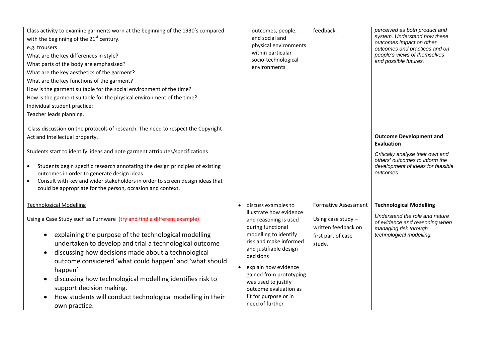| Class activity to examine garments worn at the beginning of the 1930's compared<br>with the beginning of the 21 <sup>st</sup> century.<br>e.g. trousers<br>What are the key differences in style?<br>What parts of the body are emphasised?<br>What are the key aesthetics of the garment?<br>What are the key functions of the garment?<br>How is the garment suitable for the social environment of the time?<br>How is the garment suitable for the physical environment of the time?<br>Individual student practice:<br>Teacher leads planning.                      | outcomes, people,<br>and social and<br>physical environments<br>within particular<br>socio-technological<br>environments                                                                                                                                                                                                              | feedback.                                                                                                  | perceived as both product and<br>system. Understand how these<br>outcomes impact on other<br>outcomes and practices and on<br>people's views of themselves<br>and possible futures. |
|--------------------------------------------------------------------------------------------------------------------------------------------------------------------------------------------------------------------------------------------------------------------------------------------------------------------------------------------------------------------------------------------------------------------------------------------------------------------------------------------------------------------------------------------------------------------------|---------------------------------------------------------------------------------------------------------------------------------------------------------------------------------------------------------------------------------------------------------------------------------------------------------------------------------------|------------------------------------------------------------------------------------------------------------|-------------------------------------------------------------------------------------------------------------------------------------------------------------------------------------|
| Class discussion on the protocols of research. The need to respect the Copyright<br>Act and Intellectual property.<br>Students start to identify ideas and note garment attributes/specifications<br>Students begin specific research annotating the design principles of existing<br>outcomes in order to generate design ideas.<br>Consult with key and wider stakeholders in order to screen design ideas that<br>$\bullet$<br>could be appropriate for the person, occasion and context.                                                                             |                                                                                                                                                                                                                                                                                                                                       |                                                                                                            | <b>Outcome Development and</b><br><b>Evaluation</b><br>Critically analyse their own and<br>others' outcomes to inform the<br>development of ideas for feasible<br>outcomes.         |
| <b>Technological Modelling</b><br>Using a Case Study such as Furnware (try and find a different example)<br>explaining the purpose of the technological modelling<br>$\bullet$<br>undertaken to develop and trial a technological outcome<br>discussing how decisions made about a technological<br>$\bullet$<br>outcome considered 'what could happen' and 'what should<br>happen'<br>discussing how technological modelling identifies risk to<br>$\bullet$<br>support decision making.<br>How students will conduct technological modelling in their<br>own practice. | discuss examples to<br>illustrate how evidence<br>and reasoning is used<br>during functional<br>modelling to identify<br>risk and make informed<br>and justifiable design<br>decisions<br>explain how evidence<br>gained from prototyping<br>was used to justify<br>outcome evaluation as<br>fit for purpose or in<br>need of further | <b>Formative Assessment</b><br>Using case study $-$<br>written feedback on<br>first part of case<br>study. | <b>Technological Modelling</b><br>Understand the role and nature<br>of evidence and reasoning when<br>managing risk through<br>technological modelling.                             |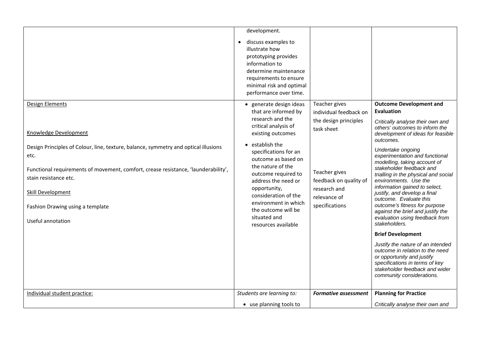|                                                                                                                                                                                                                                                                                                                                      | development.<br>discuss examples to<br>illustrate how<br>prototyping provides<br>information to<br>determine maintenance<br>requirements to ensure<br>minimal risk and optimal<br>performance over time.                                                                                                                                                                             |                                                                                                                                                                             |                                                                                                                                                                                                                                                                                                                                                                                                                                                                                                                                                                                                                                                                                                                                                                                                                 |
|--------------------------------------------------------------------------------------------------------------------------------------------------------------------------------------------------------------------------------------------------------------------------------------------------------------------------------------|--------------------------------------------------------------------------------------------------------------------------------------------------------------------------------------------------------------------------------------------------------------------------------------------------------------------------------------------------------------------------------------|-----------------------------------------------------------------------------------------------------------------------------------------------------------------------------|-----------------------------------------------------------------------------------------------------------------------------------------------------------------------------------------------------------------------------------------------------------------------------------------------------------------------------------------------------------------------------------------------------------------------------------------------------------------------------------------------------------------------------------------------------------------------------------------------------------------------------------------------------------------------------------------------------------------------------------------------------------------------------------------------------------------|
| Design Elements<br>Knowledge Development<br>Design Principles of Colour, line, texture, balance, symmetry and optical illusions<br>etc.<br>Functional requirements of movement, comfort, crease resistance, 'launderability',<br>stain resistance etc.<br>Skill Development<br>Fashion Drawing using a template<br>Useful annotation | · generate design ideas<br>that are informed by<br>research and the<br>critical analysis of<br>existing outcomes<br>• establish the<br>specifications for an<br>outcome as based on<br>the nature of the<br>outcome required to<br>address the need or<br>opportunity,<br>consideration of the<br>environment in which<br>the outcome will be<br>situated and<br>resources available | Teacher gives<br>individual feedback on<br>the design principles<br>task sheet<br>Teacher gives<br>feedback on quality of<br>research and<br>relevance of<br>specifications | <b>Outcome Development and</b><br>Evaluation<br>Critically analyse their own and<br>others' outcomes to inform the<br>development of ideas for feasible<br>outcomes.<br>Undertake ongoing<br>experimentation and functional<br>modelling, taking account of<br>stakeholder feedback and<br>trialling in the physical and social<br>environments. Use the<br>information gained to select,<br>justify, and develop a final<br>outcome. Evaluate this<br>outcome's fitness for purpose<br>against the brief and justify the<br>evaluation using feedback from<br>stakeholders.<br><b>Brief Development</b><br>Justify the nature of an intended<br>outcome in relation to the need<br>or opportunity and justify<br>specifications in terms of key<br>stakeholder feedback and wider<br>community considerations. |
| Individual student practice:                                                                                                                                                                                                                                                                                                         | Students are learning to:                                                                                                                                                                                                                                                                                                                                                            | <b>Formative assessment</b>                                                                                                                                                 | <b>Planning for Practice</b>                                                                                                                                                                                                                                                                                                                                                                                                                                                                                                                                                                                                                                                                                                                                                                                    |
|                                                                                                                                                                                                                                                                                                                                      | • use planning tools to                                                                                                                                                                                                                                                                                                                                                              |                                                                                                                                                                             | Critically analyse their own and                                                                                                                                                                                                                                                                                                                                                                                                                                                                                                                                                                                                                                                                                                                                                                                |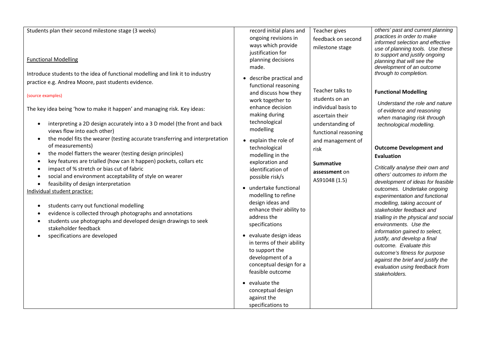| Students plan their second milestone stage (3 weeks)                                                                                                                                                                                                                                                                                                                                                                                                                                                                                                                                                                                                                                                                                                                                                                                                                                                                                                                                                                                             | record initial plans and                                                                                                                                                                                                                                                                                                                                                                                                                                                                                                                                                                                                                         | Teacher gives                                                                                                                                                                                               | others' past and current planning                                                                                                                                                                                                                                                                                                                                                                                                                                                                                                                                                                                                                                                                                                                           |
|--------------------------------------------------------------------------------------------------------------------------------------------------------------------------------------------------------------------------------------------------------------------------------------------------------------------------------------------------------------------------------------------------------------------------------------------------------------------------------------------------------------------------------------------------------------------------------------------------------------------------------------------------------------------------------------------------------------------------------------------------------------------------------------------------------------------------------------------------------------------------------------------------------------------------------------------------------------------------------------------------------------------------------------------------|--------------------------------------------------------------------------------------------------------------------------------------------------------------------------------------------------------------------------------------------------------------------------------------------------------------------------------------------------------------------------------------------------------------------------------------------------------------------------------------------------------------------------------------------------------------------------------------------------------------------------------------------------|-------------------------------------------------------------------------------------------------------------------------------------------------------------------------------------------------------------|-------------------------------------------------------------------------------------------------------------------------------------------------------------------------------------------------------------------------------------------------------------------------------------------------------------------------------------------------------------------------------------------------------------------------------------------------------------------------------------------------------------------------------------------------------------------------------------------------------------------------------------------------------------------------------------------------------------------------------------------------------------|
|                                                                                                                                                                                                                                                                                                                                                                                                                                                                                                                                                                                                                                                                                                                                                                                                                                                                                                                                                                                                                                                  | ongoing revisions in<br>ways which provide<br>justification for                                                                                                                                                                                                                                                                                                                                                                                                                                                                                                                                                                                  | feedback on second<br>milestone stage                                                                                                                                                                       | practices in order to make<br>informed selection and effective<br>use of planning tools. Use these<br>to support and justify ongoing                                                                                                                                                                                                                                                                                                                                                                                                                                                                                                                                                                                                                        |
| <b>Functional Modelling</b>                                                                                                                                                                                                                                                                                                                                                                                                                                                                                                                                                                                                                                                                                                                                                                                                                                                                                                                                                                                                                      | planning decisions<br>made.                                                                                                                                                                                                                                                                                                                                                                                                                                                                                                                                                                                                                      |                                                                                                                                                                                                             | planning that will see the<br>development of an outcome                                                                                                                                                                                                                                                                                                                                                                                                                                                                                                                                                                                                                                                                                                     |
| Introduce students to the idea of functional modelling and link it to industry<br>practice e.g. Andrea Moore, past students evidence.<br>(source examples)<br>The key idea being 'how to make it happen' and managing risk. Key ideas:<br>interpreting a 2D design accurately into a 3 D model (the front and back<br>views flow into each other)<br>the model fits the wearer (testing accurate transferring and interpretation<br>of measurements)<br>the model flatters the wearer (testing design principles)<br>$\bullet$<br>key features are trialled (how can it happen) pockets, collars etc<br>$\bullet$<br>impact of % stretch or bias cut of fabric<br>social and environment acceptability of style on wearer<br>feasibility of design interpretation<br>$\bullet$<br>Individual student practice:<br>students carry out functional modelling<br>evidence is collected through photographs and annotations<br>students use photographs and developed design drawings to seek<br>stakeholder feedback<br>specifications are developed | describe practical and<br>functional reasoning<br>and discuss how they<br>work together to<br>enhance decision<br>making during<br>technological<br>modelling<br>• explain the role of<br>technological<br>modelling in the<br>exploration and<br>identification of<br>possible risk/s<br>• undertake functional<br>modelling to refine<br>design ideas and<br>enhance their ability to<br>address the<br>specifications<br>• evaluate design ideas<br>in terms of their ability<br>to support the<br>development of a<br>conceptual design for a<br>feasible outcome<br>• evaluate the<br>conceptual design<br>against the<br>specifications to | Teacher talks to<br>students on an<br>individual basis to<br>ascertain their<br>understanding of<br>functional reasoning<br>and management of<br>risk<br><b>Summative</b><br>assessment on<br>AS91048 (1.5) | through to completion.<br><b>Functional Modelling</b><br>Understand the role and nature<br>of evidence and reasoning<br>when managing risk through<br>technological modelling.<br><b>Outcome Development and</b><br>Evaluation<br>Critically analyse their own and<br>others' outcomes to inform the<br>development of ideas for feasible<br>outcomes. Undertake ongoing<br>experimentation and functional<br>modelling, taking account of<br>stakeholder feedback and<br>trialling in the physical and social<br>environments. Use the<br>information gained to select,<br>justify, and develop a final<br>outcome. Evaluate this<br>outcome's fitness for purpose<br>against the brief and justify the<br>evaluation using feedback from<br>stakeholders. |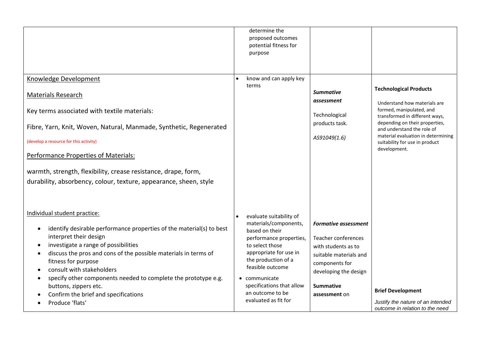|                                                                                                                                                                                                                                                                                                                                                                                                                                                                       | determine the<br>proposed outcomes<br>potential fitness for<br>purpose                                                                                                                                                                                                        |                                                                                                                                                                                     |                                                                                                                                                                                                                                                                                     |
|-----------------------------------------------------------------------------------------------------------------------------------------------------------------------------------------------------------------------------------------------------------------------------------------------------------------------------------------------------------------------------------------------------------------------------------------------------------------------|-------------------------------------------------------------------------------------------------------------------------------------------------------------------------------------------------------------------------------------------------------------------------------|-------------------------------------------------------------------------------------------------------------------------------------------------------------------------------------|-------------------------------------------------------------------------------------------------------------------------------------------------------------------------------------------------------------------------------------------------------------------------------------|
| Knowledge Development<br><b>Materials Research</b><br>Key terms associated with textile materials:<br>Fibre, Yarn, Knit, Woven, Natural, Manmade, Synthetic, Regenerated<br>(develop a resource for this activity)<br>Performance Properties of Materials:<br>warmth, strength, flexibility, crease resistance, drape, form,<br>durability, absorbency, colour, texture, appearance, sheen, style                                                                     | know and can apply key<br>terms                                                                                                                                                                                                                                               | <b>Summative</b><br>assessment<br>Technological<br>products task.<br>AS91049(1.6)                                                                                                   | <b>Technological Products</b><br>Understand how materials are<br>formed, manipulated, and<br>transformed in different ways,<br>depending on their properties,<br>and understand the role of<br>material evaluation in determining<br>suitability for use in product<br>development. |
| Individual student practice:<br>identify desirable performance properties of the material(s) to best<br>٠<br>interpret their design<br>investigate a range of possibilities<br>$\bullet$<br>discuss the pros and cons of the possible materials in terms of<br>fitness for purpose<br>consult with stakeholders<br>specify other components needed to complete the prototype e.g.<br>buttons, zippers etc.<br>Confirm the brief and specifications<br>Produce 'flats' | evaluate suitability of<br>materials/components,<br>based on their<br>performance properties,<br>to select those<br>appropriate for use in<br>the production of a<br>feasible outcome<br>communicate<br>specifications that allow<br>an outcome to be<br>evaluated as fit for | <b>Formative assessment</b><br>Teacher conferences<br>with students as to<br>suitable materials and<br>components for<br>developing the design<br><b>Summative</b><br>assessment on | <b>Brief Development</b><br>Justify the nature of an intended<br>outcome in relation to the need                                                                                                                                                                                    |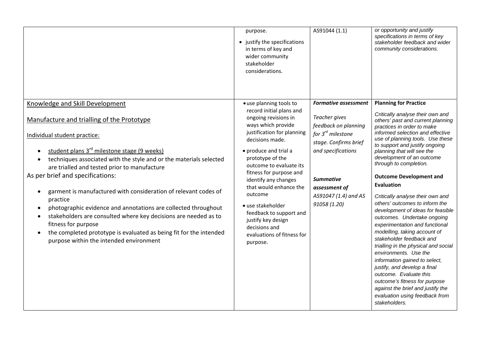|                                                                                                                                                                                                                                                                                                                                                                                                                                                                                                                                                                                                                                                                                                                          | purpose.<br>• justify the specifications<br>in terms of key and<br>wider community<br>stakeholder<br>considerations.                                                                                                                                                                                                                                                                                                                                | AS91044 (1.1)                                                                                                                                                                                                                     | or opportunity and justify<br>specifications in terms of key<br>stakeholder feedback and wider<br>community considerations.                                                                                                                                                                                                                                                                                                                                                                                                                                                                                                                                                                                                                                                                                                                                                                                            |
|--------------------------------------------------------------------------------------------------------------------------------------------------------------------------------------------------------------------------------------------------------------------------------------------------------------------------------------------------------------------------------------------------------------------------------------------------------------------------------------------------------------------------------------------------------------------------------------------------------------------------------------------------------------------------------------------------------------------------|-----------------------------------------------------------------------------------------------------------------------------------------------------------------------------------------------------------------------------------------------------------------------------------------------------------------------------------------------------------------------------------------------------------------------------------------------------|-----------------------------------------------------------------------------------------------------------------------------------------------------------------------------------------------------------------------------------|------------------------------------------------------------------------------------------------------------------------------------------------------------------------------------------------------------------------------------------------------------------------------------------------------------------------------------------------------------------------------------------------------------------------------------------------------------------------------------------------------------------------------------------------------------------------------------------------------------------------------------------------------------------------------------------------------------------------------------------------------------------------------------------------------------------------------------------------------------------------------------------------------------------------|
| Knowledge and Skill Development<br>Manufacture and trialling of the Prototype<br>Individual student practice:<br>student plans 3 <sup>rd</sup> milestone stage (9 weeks)<br>techniques associated with the style and or the materials selected<br>are trialled and tested prior to manufacture<br>As per brief and specifications:<br>garment is manufactured with consideration of relevant codes of<br>$\bullet$<br>practice<br>photographic evidence and annotations are collected throughout<br>stakeholders are consulted where key decisions are needed as to<br>fitness for purpose<br>the completed prototype is evaluated as being fit for the intended<br>$\bullet$<br>purpose within the intended environment | · use planning tools to<br>record initial plans and<br>ongoing revisions in<br>ways which provide<br>justification for planning<br>decisions made.<br>• produce and trial a<br>prototype of the<br>outcome to evaluate its<br>fitness for purpose and<br>identify any changes<br>that would enhance the<br>outcome<br>• use stakeholder<br>feedback to support and<br>justify key design<br>decisions and<br>evaluations of fitness for<br>purpose. | <b>Formative assessment</b><br>Teacher gives<br>feedback on planning<br>for 3 <sup>rd</sup> milestone<br>stage. Confirms brief<br>and specifications<br><b>Summative</b><br>assessment of<br>AS91047 (1.4) and AS<br>91058 (1.20) | <b>Planning for Practice</b><br>Critically analyse their own and<br>others' past and current planning<br>practices in order to make<br>informed selection and effective<br>use of planning tools. Use these<br>to support and justify ongoing<br>planning that will see the<br>development of an outcome<br>through to completion.<br><b>Outcome Development and</b><br><b>Evaluation</b><br>Critically analyse their own and<br>others' outcomes to inform the<br>development of ideas for feasible<br>outcomes. Undertake ongoing<br>experimentation and functional<br>modelling, taking account of<br>stakeholder feedback and<br>trialling in the physical and social<br>environments. Use the<br>information gained to select,<br>justify, and develop a final<br>outcome. Evaluate this<br>outcome's fitness for purpose<br>against the brief and justify the<br>evaluation using feedback from<br>stakeholders. |